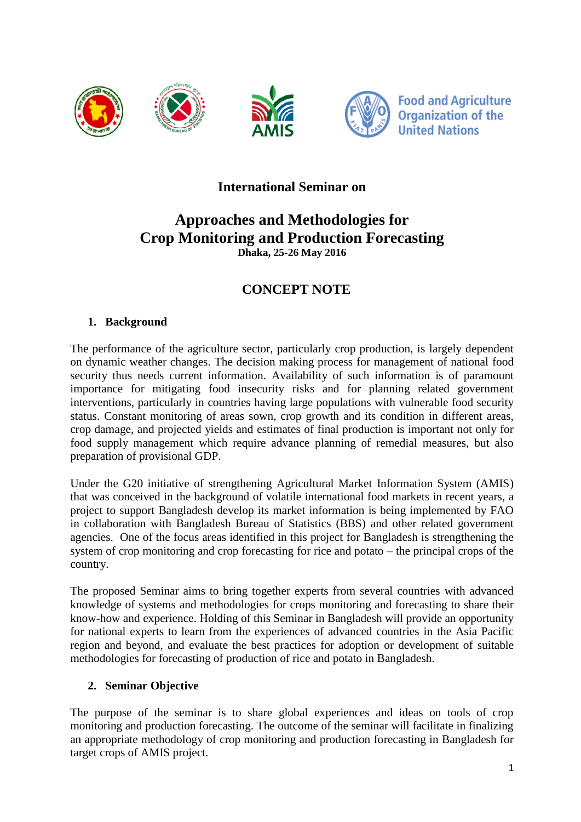

## **International Seminar on**

# **Approaches and Methodologies for Crop Monitoring and Production Forecasting Dhaka, 25-26 May 2016**

# **CONCEPT NOTE**

#### **1. Background**

The performance of the agriculture sector, particularly crop production, is largely dependent on dynamic weather changes. The decision making process for management of national food security thus needs current information. Availability of such information is of paramount importance for mitigating food insecurity risks and for planning related government interventions, particularly in countries having large populations with vulnerable food security status. Constant monitoring of areas sown, crop growth and its condition in different areas, crop damage, and projected yields and estimates of final production is important not only for food supply management which require advance planning of remedial measures, but also preparation of provisional GDP.

Under the G20 initiative of strengthening Agricultural Market Information System (AMIS) that was conceived in the background of volatile international food markets in recent years, a project to support Bangladesh develop its market information is being implemented by FAO in collaboration with Bangladesh Bureau of Statistics (BBS) and other related government agencies. One of the focus areas identified in this project for Bangladesh is strengthening the system of crop monitoring and crop forecasting for rice and potato – the principal crops of the country.

The proposed Seminar aims to bring together experts from several countries with advanced knowledge of systems and methodologies for crops monitoring and forecasting to share their know-how and experience. Holding of this Seminar in Bangladesh will provide an opportunity for national experts to learn from the experiences of advanced countries in the Asia Pacific region and beyond, and evaluate the best practices for adoption or development of suitable methodologies for forecasting of production of rice and potato in Bangladesh.

#### **2. Seminar Objective**

The purpose of the seminar is to share global experiences and ideas on tools of crop monitoring and production forecasting. The outcome of the seminar will facilitate in finalizing an appropriate methodology of crop monitoring and production forecasting in Bangladesh for target crops of AMIS project.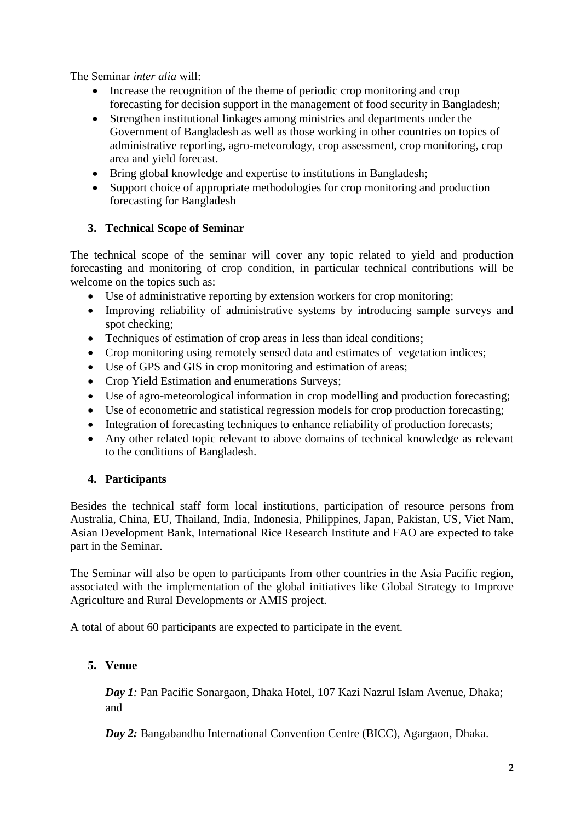The Seminar *inter alia* will:

- Increase the recognition of the theme of periodic crop monitoring and crop forecasting for decision support in the management of food security in Bangladesh;
- Strengthen institutional linkages among ministries and departments under the Government of Bangladesh as well as those working in other countries on topics of administrative reporting, agro-meteorology, crop assessment, crop monitoring, crop area and yield forecast.
- Bring global knowledge and expertise to institutions in Bangladesh;
- Support choice of appropriate methodologies for crop monitoring and production forecasting for Bangladesh

### **3. Technical Scope of Seminar**

The technical scope of the seminar will cover any topic related to yield and production forecasting and monitoring of crop condition, in particular technical contributions will be welcome on the topics such as:

- Use of administrative reporting by extension workers for crop monitoring;
- Improving reliability of administrative systems by introducing sample surveys and spot checking;
- Techniques of estimation of crop areas in less than ideal conditions;
- Crop monitoring using remotely sensed data and estimates of vegetation indices;
- Use of GPS and GIS in crop monitoring and estimation of areas;
- Crop Yield Estimation and enumerations Surveys;
- Use of agro-meteorological information in crop modelling and production forecasting;
- Use of econometric and statistical regression models for crop production forecasting;
- Integration of forecasting techniques to enhance reliability of production forecasts;
- Any other related topic relevant to above domains of technical knowledge as relevant to the conditions of Bangladesh.

### **4. Participants**

Besides the technical staff form local institutions, participation of resource persons from Australia, China, EU, Thailand, India, Indonesia, Philippines, Japan, Pakistan, US, Viet Nam, Asian Development Bank, International Rice Research Institute and FAO are expected to take part in the Seminar.

The Seminar will also be open to participants from other countries in the Asia Pacific region, associated with the implementation of the global initiatives like Global Strategy to Improve Agriculture and Rural Developments or AMIS project.

A total of about 60 participants are expected to participate in the event.

### **5. Venue**

*Day 1:* Pan Pacific Sonargaon, Dhaka Hotel, 107 Kazi Nazrul Islam Avenue, Dhaka; and

*Day 2:* Bangabandhu International Convention Centre (BICC), Agargaon, Dhaka.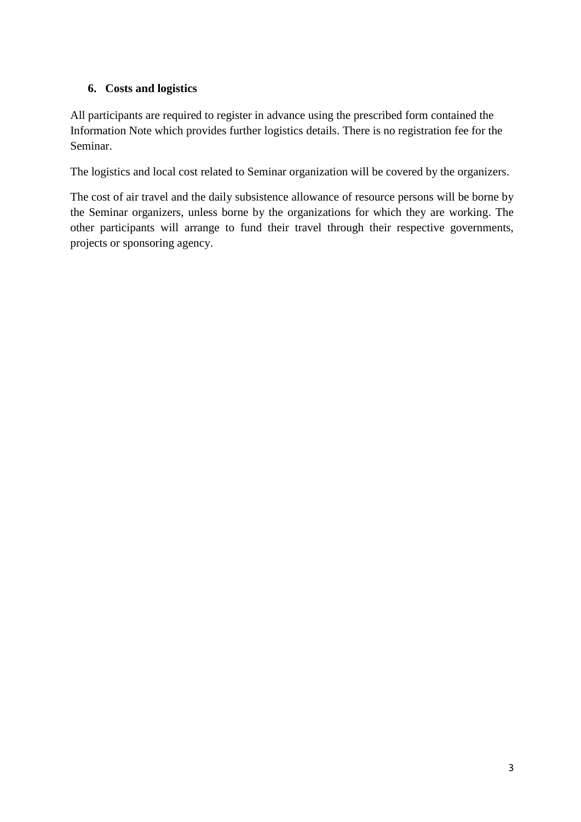### **6. Costs and logistics**

All participants are required to register in advance using the prescribed form contained the Information Note which provides further logistics details. There is no registration fee for the Seminar.

The logistics and local cost related to Seminar organization will be covered by the organizers.

The cost of air travel and the daily subsistence allowance of resource persons will be borne by the Seminar organizers, unless borne by the organizations for which they are working. The other participants will arrange to fund their travel through their respective governments, projects or sponsoring agency.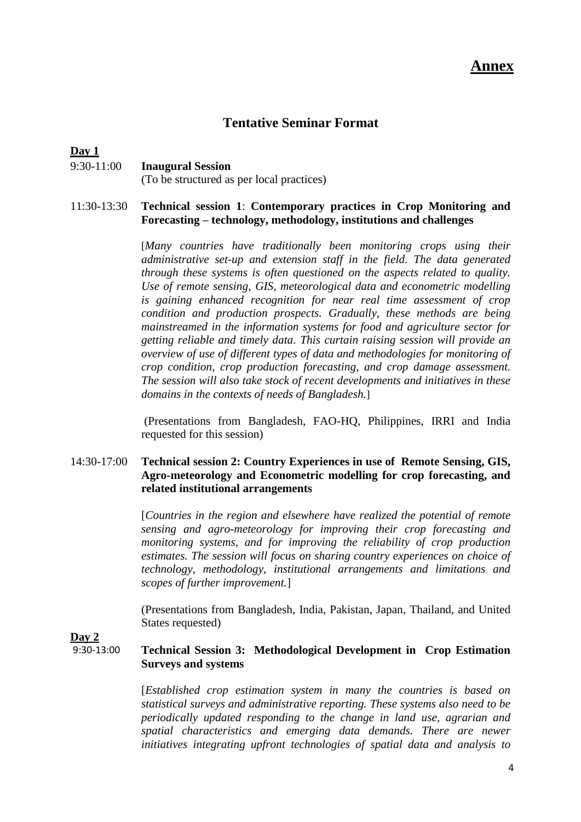## **Tentative Seminar Format**

#### **Day 1**

### 9:30-11:00 **Inaugural Session**

(To be structured as per local practices)

#### 11:30-13:30 **Technical session 1**: **Contemporary practices in Crop Monitoring and Forecasting – technology, methodology, institutions and challenges**

[*Many countries have traditionally been monitoring crops using their administrative set-up and extension staff in the field. The data generated through these systems is often questioned on the aspects related to quality. Use of remote sensing, GIS, meteorological data and econometric modelling is gaining enhanced recognition for near real time assessment of crop condition and production prospects. Gradually, these methods are being mainstreamed in the information systems for food and agriculture sector for getting reliable and timely data. This curtain raising session will provide an overview of use of different types of data and methodologies for monitoring of crop condition, crop production forecasting, and crop damage assessment. The session will also take stock of recent developments and initiatives in these domains in the contexts of needs of Bangladesh.*]

(Presentations from Bangladesh, FAO-HQ, Philippines, IRRI and India requested for this session)

#### 14:30-17:00 **Technical session 2: Country Experiences in use of Remote Sensing, GIS, Agro-meteorology and Econometric modelling for crop forecasting, and related institutional arrangements**

[*Countries in the region and elsewhere have realized the potential of remote sensing and agro-meteorology for improving their crop forecasting and monitoring systems, and for improving the reliability of crop production estimates. The session will focus on sharing country experiences on choice of technology, methodology, institutional arrangements and limitations and scopes of further improvement.*]

(Presentations from Bangladesh, India, Pakistan, Japan, Thailand, and United States requested)

**Day 2**

#### 9:30-13:00 **Technical Session 3: Methodological Development in Crop Estimation Surveys and systems**

[*Established crop estimation system in many the countries is based on statistical surveys and administrative reporting. These systems also need to be periodically updated responding to the change in land use, agrarian and spatial characteristics and emerging data demands. There are newer initiatives integrating upfront technologies of spatial data and analysis to*